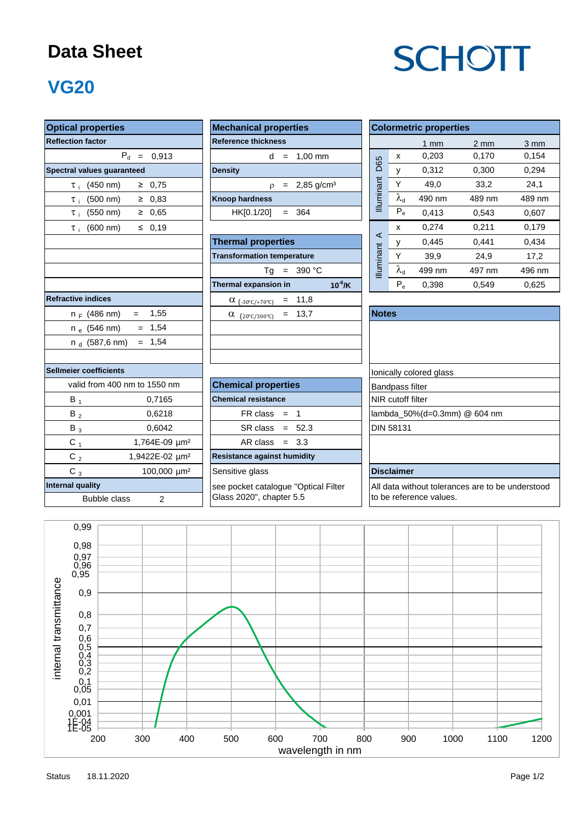#### **Data Sheet**

# **SCHOTT**

### **VG20**

| <b>Optical properties</b>                    | <b>Mechanical properties</b>           | <b>Colormetric properties</b>                    |  |  |  |  |
|----------------------------------------------|----------------------------------------|--------------------------------------------------|--|--|--|--|
| <b>Reflection factor</b>                     | <b>Reference thickness</b>             | $1$ mm                                           |  |  |  |  |
| $P_d =$<br>0,913                             | $= 1,00$ mm<br>d                       | 0,203<br>x                                       |  |  |  |  |
| Spectral values guaranteed                   | <b>Density</b>                         | D65<br>0,312<br>y                                |  |  |  |  |
| $≥$ 0,75<br>$\tau_{\rm i}$ (450 nm)          | $= 2,85$ g/cm <sup>3</sup><br>$\Omega$ | <b>Illuminant</b><br>Y<br>49,0                   |  |  |  |  |
| ≥ 0,83<br>$\tau_{\text{+}}$ (500 nm)         | <b>Knoop hardness</b>                  | $\lambda_{\sf d}$<br>490 nm                      |  |  |  |  |
| $\tau_{\rm i}$ (550 nm)<br>$≥$ 0,65          | HK[0.1/20]<br>$= 364$                  | $P_e$<br>0,413                                   |  |  |  |  |
| ≤ $0,19$<br>$(600 \, \text{nm})$<br>$\tau$ i |                                        | 0,274<br>х                                       |  |  |  |  |
|                                              | <b>Thermal properties</b>              | $\prec$<br>0,445<br>у                            |  |  |  |  |
|                                              | <b>Transformation temperature</b>      | Y<br>39,9                                        |  |  |  |  |
|                                              | $= 390 °C$<br>Tq                       | <b>Illuminant</b><br>$\lambda_{\sf d}$<br>499 nm |  |  |  |  |
|                                              | Thermal expansion in<br>$10^{-6}$ /K   | $P_e$<br>0,398                                   |  |  |  |  |
| <b>Refractive indices</b>                    | $= 11,8$<br>$\alpha$ (-30°C/+70°C)     |                                                  |  |  |  |  |
| 1,55<br>$n_F$ (486 nm)<br>$=$                | $= 13,7$<br>$\alpha$ (20°C/300°C)      | <b>Notes</b>                                     |  |  |  |  |
| $= 1,54$<br>$n_e$ (546 nm)                   |                                        |                                                  |  |  |  |  |
| $= 1.54$<br>$n_A$ (587,6 nm)                 |                                        |                                                  |  |  |  |  |
| Sellmeier coefficients                       |                                        | Ionically colored glass                          |  |  |  |  |
| valid from 400 nm to 1550 nm                 | <b>Chemical properties</b>             | <b>Bandpass filter</b>                           |  |  |  |  |
| $B_1$<br>0,7165                              | <b>Chemical resistance</b>             | NIR cutoff filter                                |  |  |  |  |
| 0,6218<br>$B_2$                              | $FR \, class = 1$                      | lambda_50%(d=0.3mm) @                            |  |  |  |  |
| $B_3$<br>0,6042                              | $SR class = 52.3$                      | <b>DIN 58131</b>                                 |  |  |  |  |
| $C_1$<br>1,764E-09 µm <sup>2</sup>           | AR class $= 3.3$                       |                                                  |  |  |  |  |
| C $_2$<br>1,9422E-02 um <sup>2</sup>         | <b>Resistance against humidity</b>     |                                                  |  |  |  |  |
| $C_3$<br>100,000 µm <sup>2</sup>             | Sensitive glass                        | <b>Disclaimer</b>                                |  |  |  |  |
| <b>Internal quality</b>                      | see pocket catalogue "Optical Filter   | All data without tolerances                      |  |  |  |  |
| <b>Bubble class</b><br>$\overline{2}$        | Glass 2020", chapter 5.5               | to be reference values.                          |  |  |  |  |

| <b>Mechanical properties</b> |  |  |                              |  |  |  |  |  |  |
|------------------------------|--|--|------------------------------|--|--|--|--|--|--|
| <b>Reference thickness</b>   |  |  |                              |  |  |  |  |  |  |
|                              |  |  | $d = 1.00 \text{ mm}$        |  |  |  |  |  |  |
| <b>Density</b>               |  |  |                              |  |  |  |  |  |  |
|                              |  |  | $p = 2,85$ g/cm <sup>3</sup> |  |  |  |  |  |  |
| <b>Knoop hardness</b>        |  |  |                              |  |  |  |  |  |  |
| $HK[0.1/20] = 364$           |  |  |                              |  |  |  |  |  |  |
|                              |  |  |                              |  |  |  |  |  |  |

|                                     | <b>Thermal properties</b>                            |                  |  |
|-------------------------------------|------------------------------------------------------|------------------|--|
|                                     | <b>Transformation temperature</b>                    |                  |  |
|                                     | $= 390 °C$<br>Тq                                     | <b>Iluminant</b> |  |
|                                     | $10^{-6}$ /K<br>Thermal expansion in                 |                  |  |
| tive indices                        | $\alpha_{(-30^{\circ}C/+70^{\circ}C)}$ = 11,8        |                  |  |
| $n_F$ (486 nm) =<br>1,55            | $= 13.7$<br>$\alpha$<br>$(20^{\circ}C/300^{\circ}C)$ | <b>Notes</b>     |  |
| n <sub>e</sub> (546 nm)<br>$= 1.54$ |                                                      |                  |  |
| n <sub>d</sub> (587,6 nm) = 1,54    |                                                      |                  |  |
|                                     |                                                      |                  |  |

| ier coefficients |                             |                            | Ionically colore       |
|------------------|-----------------------------|----------------------------|------------------------|
|                  | alid from 400 nm to 1550 nm | <b>Chemical properties</b> | <b>Bandpass filter</b> |
| В.               | 0,7165                      | <b>Chemical resistance</b> | NIR cutoff filter      |
| $B_2$            | 0,6218                      | $FR \text{ class } = 1$    | lambda_50%(c           |
| $B_3$            | 0.6042                      | $SR class = 52.3$          | <b>DIN 58131</b>       |
| С,               | 1,764E-09 um <sup>2</sup>   | $AR class = 3.3$           |                        |
|                  |                             |                            |                        |

| <b>Optical properties</b>                     | <b>Mechanical properties</b>              | <b>Colormetric properties</b> |                   |        |                |                  |  |
|-----------------------------------------------|-------------------------------------------|-------------------------------|-------------------|--------|----------------|------------------|--|
| <b>Reflection factor</b>                      | <b>Reference thickness</b>                |                               |                   | 1 $mm$ | $2 \text{ mm}$ | $3 \, \text{mm}$ |  |
| $P_{\rm d}$<br>0.913<br>$\equiv$              | $1,00$ mm<br>d<br>$=$                     |                               | X                 | 0,203  | 0,170          | 0.154            |  |
| Spectral values guaranteed                    | <b>Density</b>                            | <b>D65</b>                    |                   | 0,312  | 0,300          | 0,294            |  |
| $(450 \text{ nm})$<br>0,75<br>≥<br>$\tau$ i   | $2,85$ g/cm <sup>3</sup><br>$=$<br>$\rho$ | ant                           | $\checkmark$      | 49,0   | 33,2           | 24,1             |  |
| $(500 \text{ nm})$<br>0.83<br>≥<br>$\tau$ :   | <b>Knoop hardness</b>                     | <b>Illumina</b>               | $\lambda_{\rm d}$ | 490 nm | 489 nm         | 489 nm           |  |
| $(550 \; nm)$<br>0.65<br>≥<br>$\tau$ :        | HK[0.1/20]<br>364<br>$=$                  |                               | $P_e$             | 0,413  | 0.543          | 0,607            |  |
| $\leq$ 0.19<br>$(600 \text{ nm})$<br>$\tau$ : |                                           |                               | $\mathsf{x}$      | 0.274  | 0.211          | 0,179            |  |
|                                               | <b>Thermal properties</b>                 | $\blacktriangleleft$          |                   | 0,445  | 0.441          | 0,434            |  |
|                                               | <b>Transformation temperature</b>         |                               | $\checkmark$      | 39,9   | 24,9           | 17,2             |  |
|                                               | 390 °C<br>Тq<br>$=$                       | Illuminant                    | $\lambda_{\rm d}$ | 499 nm | 497 nm         | 496 nm           |  |
|                                               | $10^{-6}$ /K<br>Thermal expansion in      |                               | $P_e$             | 0.398  | 0.549          | 0,625            |  |

| $n_F$ (486 nm)            | 1,55<br>$=$                 | $(20^{\circ}C/300^{\circ}C)$ = 13,7<br>$\alpha$ | <b>Notes</b>                 |
|---------------------------|-----------------------------|-------------------------------------------------|------------------------------|
| n <sub>e</sub> (546 nm)   | $= 1.54$                    |                                                 |                              |
| n <sub>d</sub> (587,6 nm) | $= 1.54$                    |                                                 |                              |
|                           |                             |                                                 |                              |
| ier coefficients          |                             |                                                 | lonically colored glass      |
|                           | alid from 400 nm to 1550 nm | <b>Chemical properties</b>                      | <b>Bandpass filter</b>       |
| $B_1$                     | 0,7165                      | <b>Chemical resistance</b>                      | <b>NIR</b> cutoff filter     |
| $B_2$                     | 0,6218                      | $FR \text{ class } = 1$                         | lambda 50%(d=0.3mm) @ 604 nm |
| $B_3$                     | 0,6042                      | $SR class = 52.3$                               | <b>DIN 58131</b>             |
| $C_{1}$                   | 1,764E-09 um <sup>2</sup>   | $AR class = 3.3$                                |                              |
| $C_{2}$                   | 1,9422E-02 µm <sup>2</sup>  | <b>Resistance against humidity</b>              |                              |
| С.                        | $100.000 \text{ nm}^2$      | Sensitive glass                                 | <b>Disclaimer</b>            |

All data without tolerances are to be understood to be reference values.